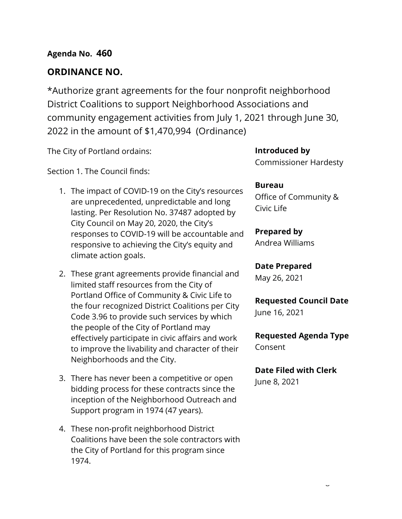# **ORDINANCE NO.**

\*Authorize grant agreements for the four nonprofit neighborhood District Coalitions to support Neighborhood Associations and community engagement activities from July 1, 2021 through June 30, 2022 in the amount of \$1,470,994 (Ordinance)

The City of Portland ordains:

Section 1. The Council finds:

- 1. The impact of COVID-19 on the City's resources are unprecedented, unpredictable and long lasting. Per Resolution No. 37487 adopted by City Council on May 20, 2020, the City's responses to COVID-19 will be accountable and responsive to achieving the City's equity and climate action goals.
- 2. These grant agreements provide financial and limited staff resources from the City of Portland Office of Community & Civic Life to the four recognized District Coalitions per City Code 3.96 to provide such services by which the people of the City of Portland may effectively participate in civic affairs and work to improve the livability and character of their Neighborhoods and the City.
- 3. There has never been a competitive or open bidding process for these contracts since the inception of the Neighborhood Outreach and Support program in 1974 (47 years).
- 4. These non-profit neighborhood District Coalitions have been the sole contractors with the City of Portland for this program since 1974.

**Introduced by** Commissioner Hardesty

# **Bureau**

Office of Community & Civic Life

**Prepared by** Andrea Williams

**Date Prepared**

May 26, 2021

**Requested Council Date** June 16, 2021

**Requested Agenda Type** Consent

# **Date Filed with Clerk**

June 8, 2021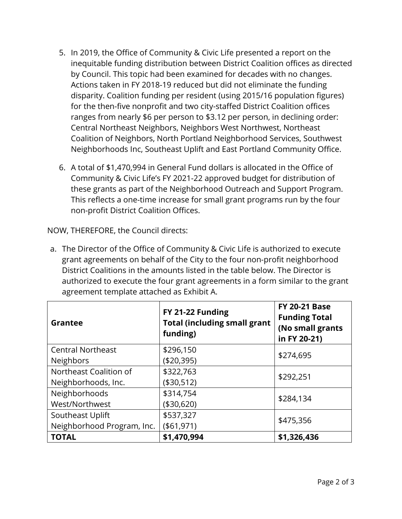- 5. In 2019, the Office of Community & Civic Life presented a report on the inequitable funding distribution between District Coalition offices as directed by Council. This topic had been examined for decades with no changes. Actions taken in FY 2018-19 reduced but did not eliminate the funding disparity. Coalition funding per resident (using 2015/16 population figures) for the then-five nonprofit and two city-staffed District Coalition offices ranges from nearly \$6 per person to \$3.12 per person, in declining order: Central Northeast Neighbors, Neighbors West Northwest, Northeast Coalition of Neighbors, North Portland Neighborhood Services, Southwest Neighborhoods Inc, Southeast Uplift and East Portland Community Office.
- 6. A total of \$1,470,994 in General Fund dollars is allocated in the Office of Community & Civic Life's FY 2021-22 approved budget for distribution of these grants as part of the Neighborhood Outreach and Support Program. This reflects a one-time increase for small grant programs run by the four non-profit District Coalition Offices.

NOW, THEREFORE, the Council directs:

a. The Director of the Office of Community & Civic Life is authorized to execute grant agreements on behalf of the City to the four non-profit neighborhood District Coalitions in the amounts listed in the table below. The Director is authorized to execute the four grant agreements in a form similar to the grant agreement template attached as Exhibit A.

| <b>Grantee</b>             | FY 21-22 Funding<br><b>Total (including small grant</b><br>funding) | <b>FY 20-21 Base</b><br><b>Funding Total</b><br>(No small grants<br>in FY 20-21) |  |
|----------------------------|---------------------------------------------------------------------|----------------------------------------------------------------------------------|--|
| <b>Central Northeast</b>   | \$296,150                                                           | \$274,695                                                                        |  |
| <b>Neighbors</b>           | (\$20,395)                                                          |                                                                                  |  |
| Northeast Coalition of     | \$322,763                                                           | \$292,251                                                                        |  |
| Neighborhoods, Inc.        | (\$30,512)                                                          |                                                                                  |  |
| Neighborhoods              | \$314,754                                                           |                                                                                  |  |
| West/Northwest             | (\$30,620)                                                          | \$284,134                                                                        |  |
| Southeast Uplift           | \$537,327                                                           |                                                                                  |  |
| Neighborhood Program, Inc. | ( \$61, 971)                                                        | \$475,356                                                                        |  |
| <b>TOTAL</b>               | \$1,470,994                                                         | \$1,326,436                                                                      |  |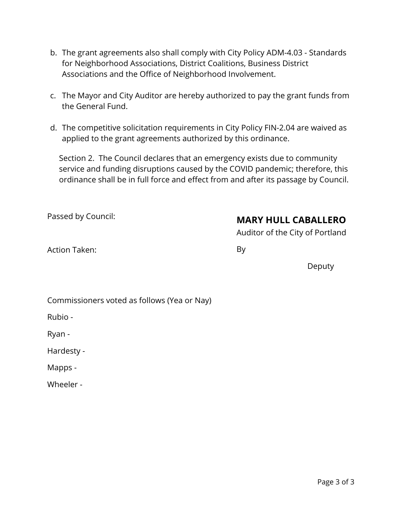- b. The grant agreements also shall comply with City Policy ADM-4.03 Standards for Neighborhood Associations, District Coalitions, Business District Associations and the Office of Neighborhood Involvement.
- c. The Mayor and City Auditor are hereby authorized to pay the grant funds from the General Fund.
- d. The competitive solicitation requirements in City Policy FIN-2.04 are waived as applied to the grant agreements authorized by this ordinance.

Section 2. The Council declares that an emergency exists due to community service and funding disruptions caused by the COVID pandemic; therefore, this ordinance shall be in full force and effect from and after its passage by Council.

Passed by Council:

# **MARY HULL CABALLERO**

Auditor of the City of Portland

Action Taken:

By

Deputy

Commissioners voted as follows (Yea or Nay)

Rubio -

Ryan -

Hardesty -

Mapps -

Wheeler -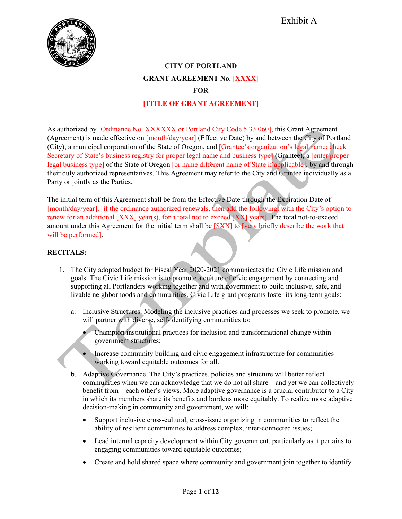

# **CITY OF PORTLAND GRANT AGREEMENT No. [XXXX] FOR**

### **[TITLE OF GRANT AGREEMENT]**

As authorized by [Ordinance No. XXXXXX or Portland City Code 5.33.060], this Grant Agreement (Agreement) is made effective on [month/day/year] (Effective Date) by and between the City of Portland (City), a municipal corporation of the State of Oregon, and [Grantee's organization's legal name; check Secretary of State's business registry for proper legal name and business type] **(**Grantee), a [enter proper legal business type] of the State of Oregon [or name different name of State if applicable], by and through their duly authorized representatives. This Agreement may refer to the City and Grantee individually as a Party or jointly as the Parties.

The initial term of this Agreement shall be from the Effective Date through the Expiration Date of [month/day/year], [if the ordinance authorized renewals, then add the following: with the City's option to renew for an additional [XXX] year(s), for a total not to exceed [XX] years]. The total not-to-exceed amount under this Agreement for the initial term shall be [\$XX] to [very briefly describe the work that will be performed].

### **RECITALS:**

- 1. The City adopted budget for Fiscal Year 2020-2021 communicates the Civic Life mission and goals. The Civic Life mission is to promote a culture of civic engagement by connecting and supporting all Portlanders working together and with government to build inclusive, safe, and livable neighborhoods and communities. Civic Life grant programs foster its long-term goals:
	- a. Inclusive Structures. Modeling the inclusive practices and processes we seek to promote, we will partner with diverse, self-identifying communities to:
		- Champion institutional practices for inclusion and transformational change within government structures;
		- Increase community building and civic engagement infrastructure for communities working toward equitable outcomes for all.
	- b. Adaptive Governance. The City's practices, policies and structure will better reflect communities when we can acknowledge that we do not all share – and yet we can collectively benefit from – each other's views. More adaptive governance is a crucial contributor to a City in which its members share its benefits and burdens more equitably. To realize more adaptive decision-making in community and government, we will:
		- Support inclusive cross-cultural, cross-issue organizing in communities to reflect the ability of resilient communities to address complex, inter-connected issues;
		- Lead internal capacity development within City government, particularly as it pertains to engaging communities toward equitable outcomes;
		- Create and hold shared space where community and government join together to identify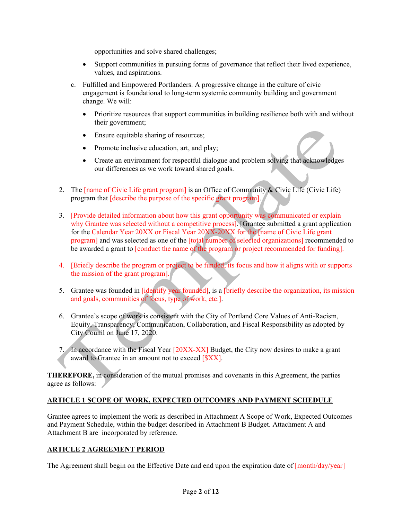opportunities and solve shared challenges;

- Support communities in pursuing forms of governance that reflect their lived experience, values, and aspirations.
- c. Fulfilled and Empowered Portlanders. A progressive change in the culture of civic engagement is foundational to long-term systemic community building and government change. We will:
	- Prioritize resources that support communities in building resilience both with and without their government;
	- Ensure equitable sharing of resources;
	- Promote inclusive education, art, and play;
	- Create an environment for respectful dialogue and problem solving that acknowledges our differences as we work toward shared goals.
- 2. The [name of Civic Life grant program] is an Office of Community & Civic Life (Civic Life) program that [describe the purpose of the specific grant program].
- 3. [Provide detailed information about how this grant opportunity was communicated or explain why Grantee was selected without a competitive process]. [Grantee submitted a grant application for the Calendar Year 20XX or Fiscal Year 20XX-20XX for the [name of Civic Life grant program] and was selected as one of the [total number of selected organizations] recommended to be awarded a grant to [conduct the name of the program or project recommended for funding].
- 4. [Briefly describe the program or project to be funded, its focus and how it aligns with or supports the mission of the grant program].
- 5. Grantee was founded in [identify year founded], is a [briefly describe the organization, its mission and goals, communities of focus, type of work, etc.].
- 6. Grantee's scope of work is consistent with the City of Portland Core Values of Anti-Racism, Equity, Transparency, Communication, Collaboration, and Fiscal Responsibility as adopted by City Counil on June 17, 2020.
- 7. In accordance with the Fiscal Year [20XX-XX] Budget, the City now desires to make a grant award to Grantee in an amount not to exceed [\$XX].

**THEREFORE,** in consideration of the mutual promises and covenants in this Agreement, the parties agree as follows:

## **ARTICLE 1 SCOPE OF WORK, EXPECTED OUTCOMES AND PAYMENT SCHEDULE**

Grantee agrees to implement the work as described in Attachment A Scope of Work, Expected Outcomes and Payment Schedule, within the budget described in Attachment B Budget. Attachment A and Attachment B are incorporated by reference.

### **ARTICLE 2 AGREEMENT PERIOD**

The Agreement shall begin on the Effective Date and end upon the expiration date of [month/day/year]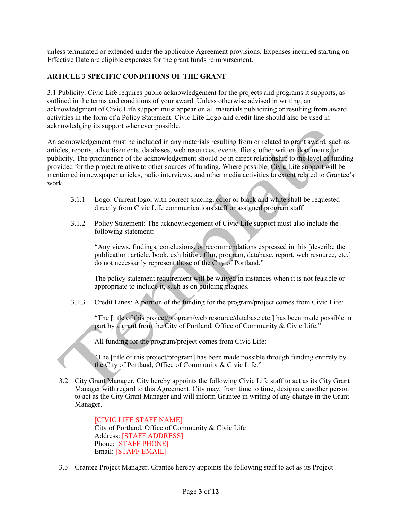unless terminated or extended under the applicable Agreement provisions. Expenses incurred starting on Effective Date are eligible expenses for the grant funds reimbursement.

#### **ARTICLE 3 SPECIFIC CONDITIONS OF THE GRANT**

3.1 Publicity. Civic Life requires public acknowledgement for the projects and programs it supports, as outlined in the terms and conditions of your award. Unless otherwise advised in writing, an acknowledgment of Civic Life support must appear on all materials publicizing or resulting from award activities in the form of a Policy Statement. Civic Life Logo and credit line should also be used in acknowledging its support whenever possible.

An acknowledgement must be included in any materials resulting from or related to grant award, such as articles, reports, advertisements, databases, web resources, events, fliers, other written documents, or publicity. The prominence of the acknowledgement should be in direct relationship to the level of funding provided for the project relative to other sources of funding. Where possible, Civic Life support will be mentioned in newspaper articles, radio interviews, and other media activities to extent related to Grantee's work.

- 3.1.1 Logo: Current logo, with correct spacing, color or black and white shall be requested directly from Civic Life communications staff or assigned program staff.
- 3.1.2 Policy Statement: The acknowledgement of Civic Life support must also include the following statement:

"Any views, findings, conclusions, or recommendations expressed in this [describe the publication: article, book, exhibition, film, program, database, report, web resource, etc.] do not necessarily represent those of the City of Portland."

The policy statement requirement will be waived in instances when it is not feasible or appropriate to include it, such as on building plaques.

3.1.3 Credit Lines: A portion of the funding for the program/project comes from Civic Life:

"The [title of this project/program/web resource/database etc.] has been made possible in part by a grant from the City of Portland, Office of Community & Civic Life."

All funding for the program/project comes from Civic Life:

"The [title of this project/program] has been made possible through funding entirely by the City of Portland, Office of Community & Civic Life."

3.2 City Grant Manager. City hereby appoints the following Civic Life staff to act as its City Grant Manager with regard to this Agreement. City may, from time to time, designate another person to act as the City Grant Manager and will inform Grantee in writing of any change in the Grant Manager.

> [CIVIC LIFE STAFF NAME] City of Portland, Office of Community & Civic Life Address: [STAFF ADDRESS] Phone: [STAFF PHONE] Email: [STAFF EMAIL]

3.3 Grantee Project Manager. Grantee hereby appoints the following staff to act as its Project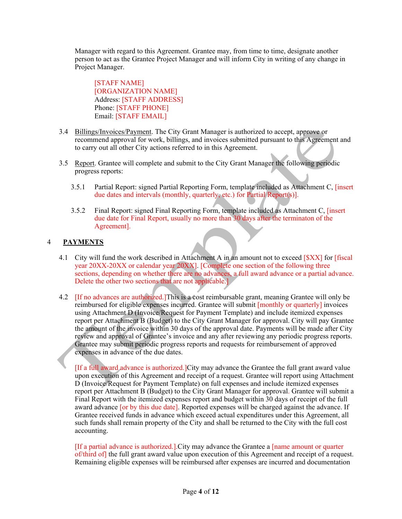Manager with regard to this Agreement. Grantee may, from time to time, designate another person to act as the Grantee Project Manager and will inform City in writing of any change in Project Manager.

[STAFF NAME] [ORGANIZATION NAME] Address: [STAFF ADDRESS] Phone: [STAFF PHONE] Email: [STAFF EMAIL]

- 3.4 Billings/Invoices/Payment. The City Grant Manager is authorized to accept, approve or recommend approval for work, billings, and invoices submitted pursuant to this Agreement and to carry out all other City actions referred to in this Agreement.
- 3.5 Report. Grantee will complete and submit to the City Grant Manager the following periodic progress reports:
	- 3.5.1 Partial Report: signed Partial Reporting Form, template included as Attachment C, [insert due dates and intervals (monthly, quarterly, etc.) for Partial Report(s)].
	- 3.5.2 Final Report: signed Final Reporting Form, template included as Attachment C, [insert due date for Final Report, usually no more than 30 days after the terminaton of the Agreement].

#### 4 **PAYMENTS**

- 4.1 City will fund the work described in Attachment A in an amount not to exceed [\$XX] for [fiscal year 20XX-20XX or calendar year 20XX]. [Complete one section of the following three sections, depending on whether there are no advances, a full award advance or a partial advance. Delete the other two sections that are not applicable.]
- 4.2 [If no advances are authorized.]This is a cost reimbursable grant, meaning Grantee will only be reimbursed for eligible expenses incurred. Grantee will submit [monthly or quarterly] invoices using Attachment D (Invoice/Request for Payment Template) and include itemized expenses report per Attachment B (Budget) to the City Grant Manager for approval. City will pay Grantee the amount of the invoice within 30 days of the approval date. Payments will be made after City review and approval of Grantee's invoice and any after reviewing any periodic progress reports. Grantee may submit periodic progress reports and requests for reimbursement of approved expenses in advance of the due dates.

[If a full award advance is authorized.]City may advance the Grantee the full grant award value upon execution of this Agreement and receipt of a request. Grantee will report using Attachment D (Invoice/Request for Payment Template) on full expenses and include itemized expenses report per Attachment B (Budget) to the City Grant Manager for approval. Grantee will submit a Final Report with the itemized expenses report and budget within 30 days of receipt of the full award advance [or by this due date]. Reported expenses will be charged against the advance. If Grantee received funds in advance which exceed actual expenditures under this Agreement, all such funds shall remain property of the City and shall be returned to the City with the full cost accounting.

[If a partial advance is authorized.].City may advance the Grantee a [name amount or quarter of/third of] the full grant award value upon execution of this Agreement and receipt of a request. Remaining eligible expenses will be reimbursed after expenses are incurred and documentation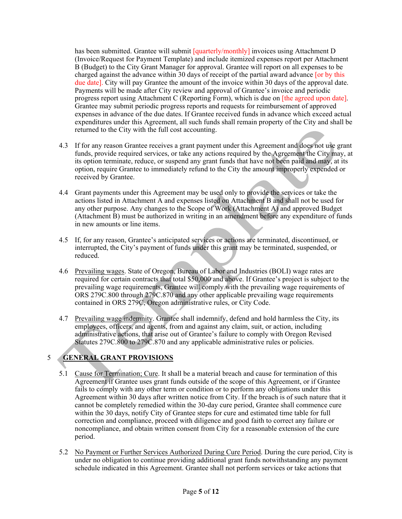has been submitted. Grantee will submit  $\frac{q^\text{un} - q^\text{un} - q^\text{un} - q^\text{un} - q^\text{un} - q^\text{un} - q^\text{un} - q^\text{un} - q^\text{un} - q^\text{un} - q^\text{un} - q^\text{un} - q^\text{un} - q^\text{un} - q^\text{un} - q^\text{un} - q^\text{un} - q^\text{un} - q^\text{un} - q^\text{un} - q^\text{un} - q^\text{un} - q^\text{un} - q^\text{un} - q^\text{un} - q^\text$ (Invoice/Request for Payment Template) and include itemized expenses report per Attachment B (Budget) to the City Grant Manager for approval. Grantee will report on all expenses to be charged against the advance within 30 days of receipt of the partial award advance [or by this due date]. City will pay Grantee the amount of the invoice within 30 days of the approval date. Payments will be made after City review and approval of Grantee's invoice and periodic progress report using Attachment C (Reporting Form), which is due on [the agreed upon date]. Grantee may submit periodic progress reports and requests for reimbursement of approved expenses in advance of the due dates. If Grantee received funds in advance which exceed actual expenditures under this Agreement, all such funds shall remain property of the City and shall be returned to the City with the full cost accounting.

- 4.3 If for any reason Grantee receives a grant payment under this Agreement and does not use grant funds, provide required services, or take any actions required by the Agreement the City may, at its option terminate, reduce, or suspend any grant funds that have not been paid and may, at its option, require Grantee to immediately refund to the City the amount improperly expended or received by Grantee.
- 4.4 Grant payments under this Agreement may be used only to provide the services or take the actions listed in Attachment A and expenses listed on Attachment B and shall not be used for any other purpose. Any changes to the Scope of Work (Attachment A) and approved Budget (Attachment B) must be authorized in writing in an amendment before any expenditure of funds in new amounts or line items.
- 4.5 If, for any reason, Grantee's anticipated services or actions are terminated, discontinued, or interrupted, the City's payment of funds under this grant may be terminated, suspended, or reduced.
- 4.6 Prevailing wages. State of Oregon, Bureau of Labor and Industries (BOLI) wage rates are required for certain contracts that total \$50,000 and above. If Grantee's project is subject to the prevailing wage requirements, Grantee will comply with the prevailing wage requirements of ORS 279C.800 through 279C.870 and any other applicable prevailing wage requirements contained in ORS 279C, Oregon administrative rules, or City Code.
- 4.7 Prevailing wage indemnity. Grantee shall indemnify, defend and hold harmless the City, its employees, officers, and agents, from and against any claim, suit, or action, including administrative actions, that arise out of Grantee's failure to comply with Oregon Revised Statutes 279C.800 to 279C.870 and any applicable administrative rules or policies.

# 5 **GENERAL GRANT PROVISIONS**

- 5.1 Cause for Termination; Cure. It shall be a material breach and cause for termination of this Agreement if Grantee uses grant funds outside of the scope of this Agreement, or if Grantee fails to comply with any other term or condition or to perform any obligations under this Agreement within 30 days after written notice from City. If the breach is of such nature that it cannot be completely remedied within the 30-day cure period, Grantee shall commence cure within the 30 days, notify City of Grantee steps for cure and estimated time table for full correction and compliance, proceed with diligence and good faith to correct any failure or noncompliance, and obtain written consent from City for a reasonable extension of the cure period.
- 5.2 No Payment or Further Services Authorized During Cure Period. During the cure period, City is under no obligation to continue providing additional grant funds notwithstanding any payment schedule indicated in this Agreement. Grantee shall not perform services or take actions that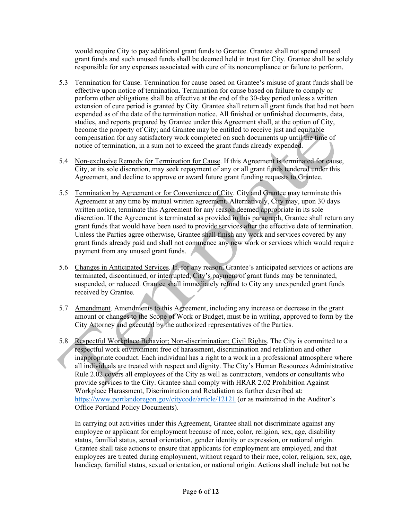would require City to pay additional grant funds to Grantee. Grantee shall not spend unused grant funds and such unused funds shall be deemed held in trust for City. Grantee shall be solely responsible for any expenses associated with cure of its noncompliance or failure to perform.

- 5.3 Termination for Cause. Termination for cause based on Grantee's misuse of grant funds shall be effective upon notice of termination. Termination for cause based on failure to comply or perform other obligations shall be effective at the end of the 30-day period unless a written extension of cure period is granted by City. Grantee shall return all grant funds that had not been expended as of the date of the termination notice. All finished or unfinished documents, data, studies, and reports prepared by Grantee under this Agreement shall, at the option of City, become the property of City; and Grantee may be entitled to receive just and equitable compensation for any satisfactory work completed on such documents up until the time of notice of termination, in a sum not to exceed the grant funds already expended.
- 5.4 Non-exclusive Remedy for Termination for Cause. If this Agreement is terminated for cause, City, at its sole discretion, may seek repayment of any or all grant funds tendered under this Agreement, and decline to approve or award future grant funding requests to Grantee.
- 5.5 Termination by Agreement or for Convenience of City. City and Grantee may terminate this Agreement at any time by mutual written agreement. Alternatively, City may, upon 30 days written notice, terminate this Agreement for any reason deemed appropriate in its sole discretion. If the Agreement is terminated as provided in this paragraph, Grantee shall return any grant funds that would have been used to provide services after the effective date of termination. Unless the Parties agree otherwise, Grantee shall finish any work and services covered by any grant funds already paid and shall not commence any new work or services which would require payment from any unused grant funds.
- 5.6 Changes in Anticipated Services. If, for any reason, Grantee's anticipated services or actions are terminated, discontinued, or interrupted, City's payment of grant funds may be terminated, suspended, or reduced. Grantee shall immediately refund to City any unexpended grant funds received by Grantee.
- 5.7 Amendment. Amendments to this Agreement, including any increase or decrease in the grant amount or changes to the Scope of Work or Budget, must be in writing, approved to form by the City Attorney and executed by the authorized representatives of the Parties.
- 5.8 Respectful Workplace Behavior; Non-discrimination; Civil Rights. The City is committed to a respectful work environment free of harassment, discrimination and retaliation and other inappropriate conduct. Each individual has a right to a work in a professional atmosphere where all individuals are treated with respect and dignity. The City's Human Resources Administrative Rule 2.02 covers all employees of the City as well as contractors, vendors or consultants who provide services to the City. Grantee shall comply with HRAR 2.02 Prohibition Against Workplace Harassment, Discrimination and Retaliation as further described at: <https://www.portlandoregon.gov/citycode/article/12121> (or as maintained in the Auditor's Office Portland Policy Documents).

In carrying out activities under this Agreement, Grantee shall not discriminate against any employee or applicant for employment because of race, color, religion, sex, age, disability status, familial status, sexual orientation, gender identity or expression, or national origin. Grantee shall take actions to ensure that applicants for employment are employed, and that employees are treated during employment, without regard to their race, color, religion, sex, age, handicap, familial status, sexual orientation, or national origin. Actions shall include but not be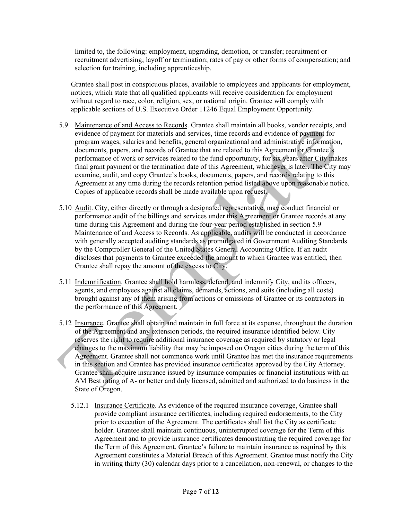limited to, the following: employment, upgrading, demotion, or transfer; recruitment or recruitment advertising; layoff or termination; rates of pay or other forms of compensation; and selection for training, including apprenticeship.

Grantee shall post in conspicuous places, available to employees and applicants for employment, notices, which state that all qualified applicants will receive consideration for employment without regard to race, color, religion, sex, or national origin. Grantee will comply with applicable sections of U.S. Executive Order 11246 Equal Employment Opportunity.

- 5.9 Maintenance of and Access to Records. Grantee shall maintain all books, vendor receipts, and evidence of payment for materials and services, time records and evidence of payment for program wages, salaries and benefits, general organizational and administrative information, documents, papers, and records of Grantee that are related to this Agreement or Grantee's performance of work or services related to the fund opportunity, for six years after City makes final grant payment or the termination date of this Agreement, whichever is later. The City may examine, audit, and copy Grantee's books, documents, papers, and records relating to this Agreement at any time during the records retention period listed above upon reasonable notice. Copies of applicable records shall be made available upon request.
- 5.10 Audit. City, either directly or through a designated representative, may conduct financial or performance audit of the billings and services under this Agreement or Grantee records at any time during this Agreement and during the four-year period established in section 5.9 Maintenance of and Access to Records. As applicable, audits will be conducted in accordance with generally accepted auditing standards as promulgated in Government Auditing Standards by the Comptroller General of the United States General Accounting Office. If an audit discloses that payments to Grantee exceeded the amount to which Grantee was entitled, then Grantee shall repay the amount of the excess to City.
- 5.11 Indemnification. Grantee shall hold harmless, defend, and indemnify City, and its officers, agents, and employees against all claims, demands, actions, and suits (including all costs) brought against any of them arising from actions or omissions of Grantee or its contractors in the performance of this Agreement.
- 5.12 Insurance. Grantee shall obtain and maintain in full force at its expense, throughout the duration of the Agreement and any extension periods, the required insurance identified below. City reserves the right to require additional insurance coverage as required by statutory or legal changes to the maximum liability that may be imposed on Oregon cities during the term of this Agreement. Grantee shall not commence work until Grantee has met the insurance requirements in this section and Grantee has provided insurance certificates approved by the City Attorney. Grantee shall acquire insurance issued by insurance companies or financial institutions with an AM Best rating of A- or better and duly licensed, admitted and authorized to do business in the State of Oregon.
	- 5.12.1 Insurance Certificate. As evidence of the required insurance coverage, Grantee shall provide compliant insurance certificates, including required endorsements, to the City prior to execution of the Agreement. The certificates shall list the City as certificate holder. Grantee shall maintain continuous, uninterrupted coverage for the Term of this Agreement and to provide insurance certificates demonstrating the required coverage for the Term of this Agreement. Grantee's failure to maintain insurance as required by this Agreement constitutes a Material Breach of this Agreement. Grantee must notify the City in writing thirty (30) calendar days prior to a cancellation, non-renewal, or changes to the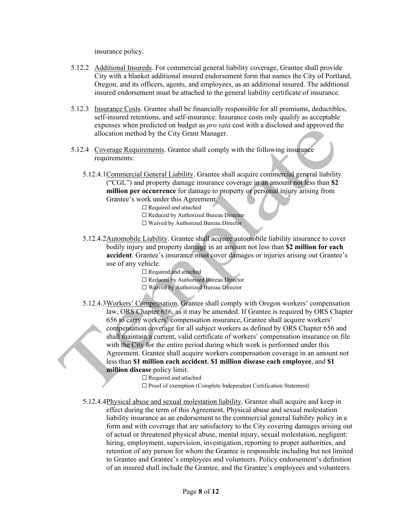insurance policy.

- 5.12.2 Additional Insureds. For commercial general liability coverage, Grantee shall provide City with a blanket additional insured endorsement form that names the City of Portland, Oregon, and its officers, agents, and employees, as an additional insured. The additional insured endorsement must be attached to the general liability certificate of insurance.
- 5.12.3 Insurance Costs. Grantee shall be financially responsible for all premiums, deductibles, self-insured retentions, and self-insurance. Insurance costs only qualify as acceptable expenses when predicted on budget as *pro rata* cost with a disclosed and approved the allocation method by the City Grant Manager.
- 5.12.4 Coverage Requirements. Grantee shall comply with the following insurance requirements:
	- 5.12.4.1Commercial General Liability. Grantee shall acquire commercial general liability ("CGL") and property damage insurance coverage in an amount not less than **\$2 million per occurrence** for damage to property or personal injury arising from Grantee's work under this Agreement.
		- □ Required and attached
		- ☐ Reduced by Authorized Bureau Director
		- ☐ Waived by Authorized Bureau Director
	- 5.12.4.2Automobile Liability. Grantee shall acquire automobile liability insurance to cover bodily injury and property damage in an amount not less than **\$2 million for each accident**. Grantee's insurance must cover damages or injuries arising out Grantee's use of any vehicle.
		- $\Box$  Required and attached
		- ☐ Reduced by Authorized Bureau Director
		- ☐ Waived by Authorized Bureau Director
	- 5.12.4.3Workers' Compensation. Grantee shall comply with Oregon workers' compensation law, ORS Chapter 656, as it may be amended. If Grantee is required by ORS Chapter 656 to carry workers' compensation insurance, Grantee shall acquire workers' compensation coverage for all subject workers as defined by ORS Chapter 656 and shall maintain a current, valid certificate of workers' compensation insurance on file with the City for the entire period during which work is performed under this Agreement. Grantee shall acquire workers compensation coverage in an amount not less than **\$1 million each accident**, **\$1 million disease each employee**, and **\$1 million disease** policy limit.

□ Required and attached

☐ Proof of exemption (Complete Independent Certification Statement)

5.12.4.4Physical abuse and sexual molestation liability. Grantee shall acquire and keep in effect during the term of this Agreement, Physical abuse and sexual molestation liability insurance as an endorsement to the commercial general liability policy in a form and with coverage that are satisfactory to the City covering damages arising out of actual or threatened physical abuse, mental injury, sexual molestation, negligent: hiring, employment, supervision, investigation, reporting to proper authorities, and retention of any person for whom the Grantee is responsible including but not limited to Grantee and Grantee's employees and volunteers. Policy endorsement's definition of an insured shall include the Grantee, and the Grantee's employees and volunteers.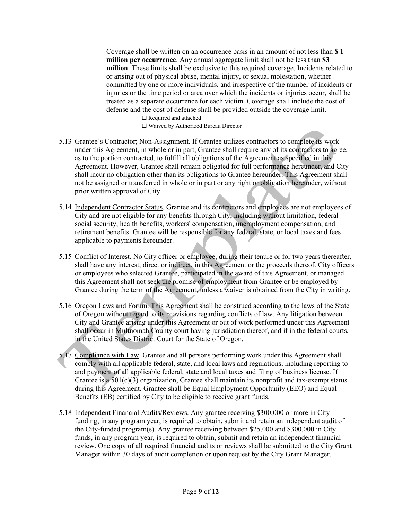Coverage shall be written on an occurrence basis in an amount of not less than **\$ 1 million per occurrence**. Any annual aggregate limit shall not be less than **\$3 million**. These limits shall be exclusive to this required coverage. Incidents related to or arising out of physical abuse, mental injury, or sexual molestation, whether committed by one or more individuals, and irrespective of the number of incidents or injuries or the time period or area over which the incidents or injuries occur, shall be treated as a separate occurrence for each victim. Coverage shall include the cost of defense and the cost of defense shall be provided outside the coverage limit.

> □ Required and attached ☐ Waived by Authorized Bureau Director

- 5.13 Grantee's Contractor; Non-Assignment. If Grantee utilizes contractors to complete its work under this Agreement, in whole or in part, Grantee shall require any of its contractors to agree, as to the portion contracted, to fulfill all obligations of the Agreement as specified in this Agreement. However, Grantee shall remain obligated for full performance hereunder, and City shall incur no obligation other than its obligations to Grantee hereunder. This Agreement shall not be assigned or transferred in whole or in part or any right or obligation hereunder, without prior written approval of City.
- 5.14 Independent Contractor Status. Grantee and its contractors and employees are not employees of City and are not eligible for any benefits through City, including without limitation, federal social security, health benefits, workers' compensation, unemployment compensation, and retirement benefits. Grantee will be responsible for any federal, state, or local taxes and fees applicable to payments hereunder.
- 5.15 Conflict of Interest. No City officer or employee, during their tenure or for two years thereafter, shall have any interest, direct or indirect, in this Agreement or the proceeds thereof. City officers or employees who selected Grantee, participated in the award of this Agreement, or managed this Agreement shall not seek the promise of employment from Grantee or be employed by Grantee during the term of the Agreement, unless a waiver is obtained from the City in writing.
- 5.16 Oregon Laws and Forum. This Agreement shall be construed according to the laws of the State of Oregon without regard to its provisions regarding conflicts of law. Any litigation between City and Grantee arising under this Agreement or out of work performed under this Agreement shall occur in Multnomah County court having jurisdiction thereof, and if in the federal courts, in the United States District Court for the State of Oregon.
- 5.17 Compliance with Law. Grantee and all persons performing work under this Agreement shall comply with all applicable federal, state, and local laws and regulations, including reporting to and payment of all applicable federal, state and local taxes and filing of business license. If Grantee is a  $501(c)(3)$  organization, Grantee shall maintain its nonprofit and tax-exempt status during this Agreement. Grantee shall be Equal Employment Opportunity (EEO) and Equal Benefits (EB) certified by City to be eligible to receive grant funds.
- 5.18 Independent Financial Audits/Reviews. Any grantee receiving \$300,000 or more in City funding, in any program year, is required to obtain, submit and retain an independent audit of the City-funded program(s). Any grantee receiving between \$25,000 and \$300,000 in City funds, in any program year, is required to obtain, submit and retain an independent financial review. One copy of all required financial audits or reviews shall be submitted to the City Grant Manager within 30 days of audit completion or upon request by the City Grant Manager.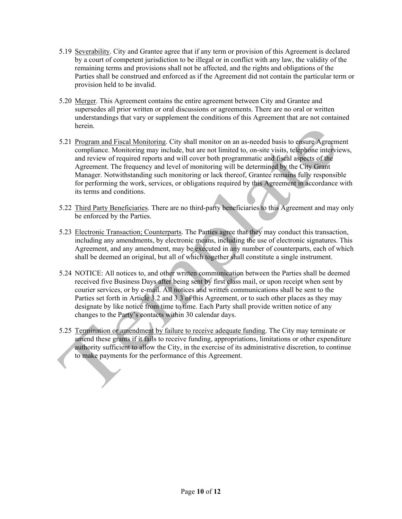- 5.19 Severability. City and Grantee agree that if any term or provision of this Agreement is declared by a court of competent jurisdiction to be illegal or in conflict with any law, the validity of the remaining terms and provisions shall not be affected, and the rights and obligations of the Parties shall be construed and enforced as if the Agreement did not contain the particular term or provision held to be invalid.
- 5.20 Merger. This Agreement contains the entire agreement between City and Grantee and supersedes all prior written or oral discussions or agreements. There are no oral or written understandings that vary or supplement the conditions of this Agreement that are not contained herein.
- 5.21 Program and Fiscal Monitoring. City shall monitor on an as-needed basis to ensure Agreement compliance. Monitoring may include, but are not limited to, on-site visits, telephone interviews, and review of required reports and will cover both programmatic and fiscal aspects of the Agreement. The frequency and level of monitoring will be determined by the City Grant Manager. Notwithstanding such monitoring or lack thereof, Grantee remains fully responsible for performing the work, services, or obligations required by this Agreement in accordance with its terms and conditions.
- 5.22 Third Party Beneficiaries. There are no third-party beneficiaries to this Agreement and may only be enforced by the Parties.
- 5.23 Electronic Transaction; Counterparts. The Parties agree that they may conduct this transaction, including any amendments, by electronic means, including the use of electronic signatures. This Agreement, and any amendment, may be executed in any number of counterparts, each of which shall be deemed an original, but all of which together shall constitute a single instrument.
- 5.24 NOTICE: All notices to, and other written communication between the Parties shall be deemed received five Business Days after being sent by first class mail, or upon receipt when sent by courier services, or by e-mail. All notices and written communications shall be sent to the Parties set forth in Article 3.2 and 3.3 of this Agreement, or to such other places as they may designate by like notice from time to time. Each Party shall provide written notice of any changes to the Party's contacts within 30 calendar days.
- 5.25 Termination or amendment by failure to receive adequate funding. The City may terminate or amend these grants if it fails to receive funding, appropriations, limitations or other expenditure authority sufficient to allow the City, in the exercise of its administrative discretion, to continue to make payments for the performance of this Agreement.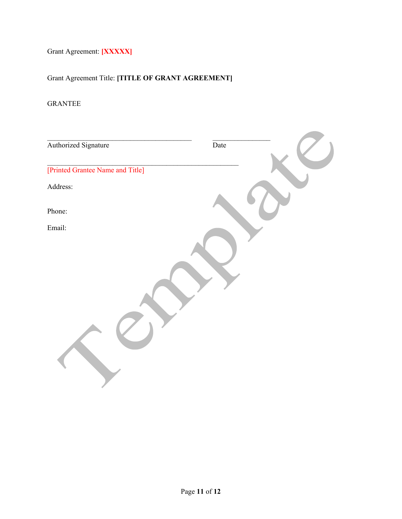Grant Agreement: **[XXXXX]**

Grant Agreement Title: **[TITLE OF GRANT AGREEMENT]**

## GRANTEE

| Authorized Signature             | Date |
|----------------------------------|------|
| [Printed Grantee Name and Title] |      |
| Address:                         |      |
| Phone:                           |      |
| Email:                           |      |
|                                  |      |
|                                  |      |
|                                  |      |
|                                  |      |
|                                  |      |
|                                  |      |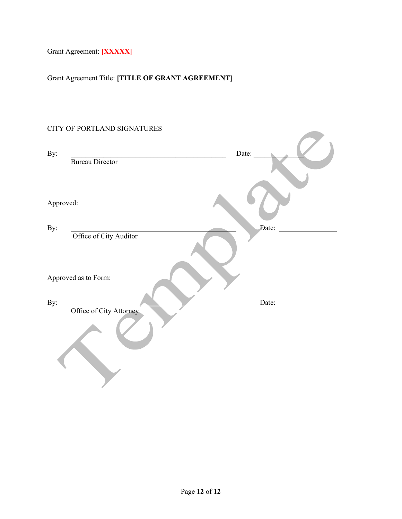Grant Agreement: **[XXXXX]**

Grant Agreement Title: **[TITLE OF GRANT AGREEMENT]**

# CITY OF PORTLAND SIGNATURES

| Date: |
|-------|
|       |
|       |
|       |
| Date: |
|       |
|       |
| Date: |
|       |
|       |
|       |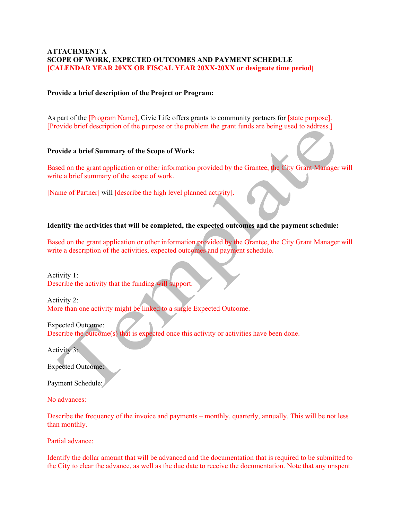#### **ATTACHMENT A SCOPE OF WORK, EXPECTED OUTCOMES AND PAYMENT SCHEDULE [CALENDAR YEAR 20XX OR FISCAL YEAR 20XX-20XX or designate time period]**

#### **Provide a brief description of the Project or Program:**

As part of the [Program Name], Civic Life offers grants to community partners for [state purpose]. [Provide brief description of the purpose or the problem the grant funds are being used to address.]

#### **Provide a brief Summary of the Scope of Work:**

Based on the grant application or other information provided by the Grantee, the City Grant Manager will write a brief summary of the scope of work.

[Name of Partner] will [describe the high level planned activity].

#### **Identify the activities that will be completed, the expected outcomes and the payment schedule:**

Based on the grant application or other information provided by the Grantee, the City Grant Manager will write a description of the activities, expected outcomes and payment schedule.

Activity 1: Describe the activity that the funding will support.

Activity 2: More than one activity might be linked to a single Expected Outcome.

Expected Outcome: Describe the outcome(s) that is expected once this activity or activities have been done.

Activity 3:

Expected Outcome:

Payment Schedule:

No advances:

Describe the frequency of the invoice and payments – monthly, quarterly, annually. This will be not less than monthly.

Partial advance:

Identify the dollar amount that will be advanced and the documentation that is required to be submitted to the City to clear the advance, as well as the due date to receive the documentation. Note that any unspent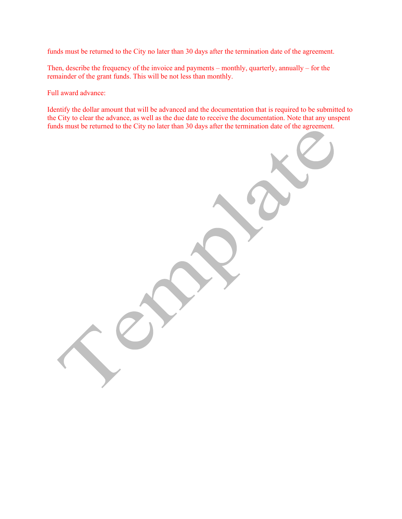funds must be returned to the City no later than 30 days after the termination date of the agreement.

Then, describe the frequency of the invoice and payments – monthly, quarterly, annually – for the remainder of the grant funds. This will be not less than monthly.

Full award advance:

Identify the dollar amount that will be advanced and the documentation that is required to be submitted to the City to clear the advance, as well as the due date to receive the documentation. Note that any unspent funds must be returned to the City no later than 30 days after the termination date of the agreement.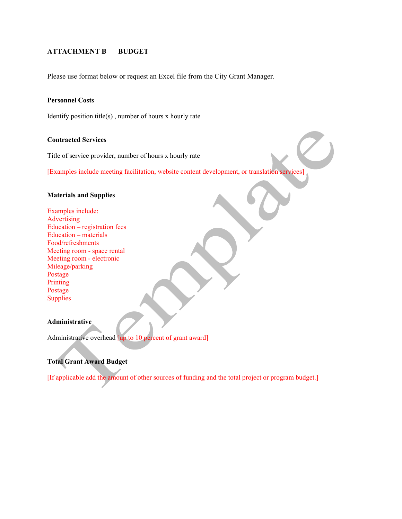#### **ATTACHMENT B BUDGET**

Please use format below or request an Excel file from the City Grant Manager.

#### **Personnel Costs**

Identify position title(s) , number of hours x hourly rate

#### **Contracted Services**

Title of service provider, number of hours x hourly rate

[Examples include meeting facilitation, website content development, or translation services]

#### **Materials and Supplies**

Examples include: Advertising Education – registration fees Education – materials Food/refreshments Meeting room - space rental Meeting room - electronic Mileage/parking Postage Printing Postage **Supplies** 

#### **Administrative**

Administrative overhead [up to 10 percent of grant award]

#### **Total Grant Award Budget**

[If applicable add the amount of other sources of funding and the total project or program budget.]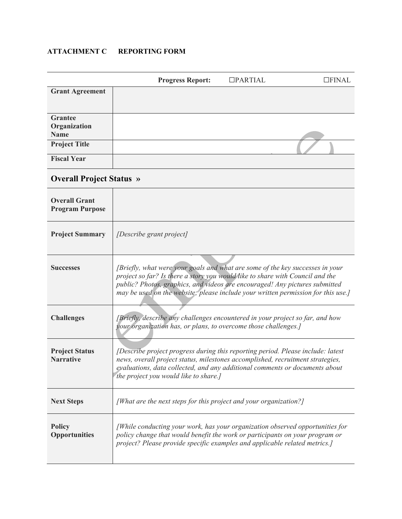## **ATTACHMENT C REPORTING FORM**

|                                                | <b>Progress Report:</b>                                                                                                                                                                                                                                                                                                            | $\Box$ PARTIAL | $\Box$ FINAL |
|------------------------------------------------|------------------------------------------------------------------------------------------------------------------------------------------------------------------------------------------------------------------------------------------------------------------------------------------------------------------------------------|----------------|--------------|
| <b>Grant Agreement</b>                         |                                                                                                                                                                                                                                                                                                                                    |                |              |
| <b>Grantee</b><br>Organization<br><b>Name</b>  |                                                                                                                                                                                                                                                                                                                                    |                |              |
| <b>Project Title</b>                           |                                                                                                                                                                                                                                                                                                                                    |                |              |
| <b>Fiscal Year</b>                             |                                                                                                                                                                                                                                                                                                                                    |                |              |
| <b>Overall Project Status »</b>                |                                                                                                                                                                                                                                                                                                                                    |                |              |
| <b>Overall Grant</b><br><b>Program Purpose</b> |                                                                                                                                                                                                                                                                                                                                    |                |              |
| <b>Project Summary</b>                         | [Describe grant project]                                                                                                                                                                                                                                                                                                           |                |              |
| <b>Successes</b>                               | [Briefly, what were your goals and what are some of the key successes in your<br>project so far? Is there a story you would like to share with Council and the<br>public? Photos, graphics, and videos are encouraged! Any pictures submitted<br>may be used on the website; please include your written permission for this use.] |                |              |
| <b>Challenges</b>                              | [Briefly, describe any challenges encountered in your project so far, and how<br>your organization has, or plans, to overcome those challenges.]                                                                                                                                                                                   |                |              |
| <b>Project Status</b><br><b>Narrative</b>      | [Describe project progress during this reporting period. Please include: latest<br>news, overall project status, milestones accomplished, recruitment strategies,<br>evaluations, data collected, and any additional comments or documents about<br>the project you would like to share.]                                          |                |              |
| <b>Next Steps</b>                              | [What are the next steps for this project and your organization?]                                                                                                                                                                                                                                                                  |                |              |
| <b>Policy</b><br><b>Opportunities</b>          | [While conducting your work, has your organization observed opportunities for<br>policy change that would benefit the work or participants on your program or<br>project? Please provide specific examples and applicable related metrics.]                                                                                        |                |              |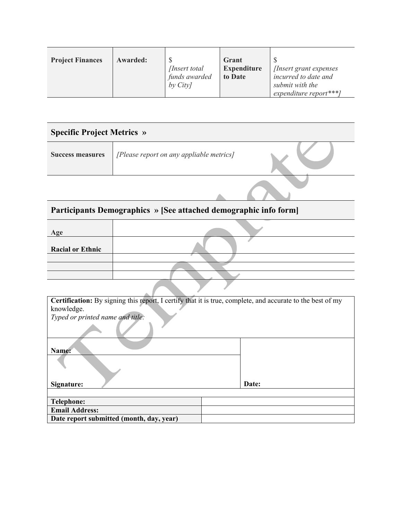| <b>Project Finances</b> | Awarded: | <i>Insert total</i>      | Grant<br><b>Expenditure</b> | <i>Insert grant expenses</i>            |
|-------------------------|----------|--------------------------|-----------------------------|-----------------------------------------|
|                         |          | funds awarded<br>by City | to Date                     | incurred to date and<br>submit with the |
|                         |          |                          |                             | expenditure report***]                  |

| <b>Specific Project Metrics »</b> |                                          |  |
|-----------------------------------|------------------------------------------|--|
| <b>Success measures</b>           | [Please report on any appliable metrics] |  |
|                                   |                                          |  |

# **Participants Demographics » [See attached demographic info form]**

| Age                     |  |
|-------------------------|--|
| <b>Racial or Ethnic</b> |  |
|                         |  |
|                         |  |
|                         |  |
|                         |  |

| Certification: By signing this report, I certify that it is true, complete, and accurate to the best of my |       |
|------------------------------------------------------------------------------------------------------------|-------|
| knowledge.                                                                                                 |       |
| Typed or printed name and title:                                                                           |       |
|                                                                                                            |       |
| Name:                                                                                                      |       |
|                                                                                                            |       |
| Signature:                                                                                                 | Date: |
|                                                                                                            |       |
| <b>Telephone:</b>                                                                                          |       |
| <b>Email Address:</b>                                                                                      |       |
| Date report submitted (month, day, year)                                                                   |       |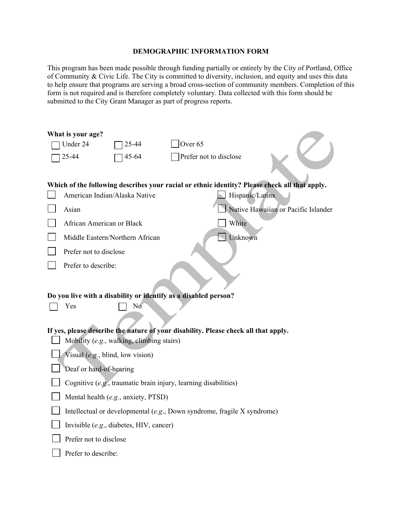#### **DEMOGRAPHIC INFORMATION FORM**

This program has been made possible through funding partially or entirely by the City of Portland, Office of Community & Civic Life. The City is committed to diversity, inclusion, and equity and uses this data to help ensure that programs are serving a broad cross-section of community members. Completion of this form is not required and is therefore completely voluntary. Data collected with this form should be submitted to the City Grant Manager as part of progress reports.

|                                                                                                                                  | What is your age?                |                                         |                                                                         |                                                                                               |
|----------------------------------------------------------------------------------------------------------------------------------|----------------------------------|-----------------------------------------|-------------------------------------------------------------------------|-----------------------------------------------------------------------------------------------|
|                                                                                                                                  | Under 24                         | 25-44                                   | Over <sub>65</sub>                                                      |                                                                                               |
|                                                                                                                                  | 25-44                            | 45-64                                   | Prefer not to disclose                                                  |                                                                                               |
|                                                                                                                                  |                                  |                                         |                                                                         |                                                                                               |
|                                                                                                                                  |                                  |                                         |                                                                         | Which of the following describes your racial or ethnic identity? Please check all that apply. |
|                                                                                                                                  | American Indian/Alaska Native    |                                         |                                                                         | Hispanic/Latinx                                                                               |
|                                                                                                                                  | Asian                            |                                         |                                                                         | Native Hawaiian or Pacific Islander                                                           |
|                                                                                                                                  |                                  |                                         |                                                                         |                                                                                               |
|                                                                                                                                  | African American or Black        |                                         | White                                                                   |                                                                                               |
|                                                                                                                                  | Middle Eastern/Northern African  |                                         |                                                                         | Unknown                                                                                       |
|                                                                                                                                  | Prefer not to disclose           |                                         |                                                                         |                                                                                               |
|                                                                                                                                  | Prefer to describe:              |                                         |                                                                         |                                                                                               |
|                                                                                                                                  |                                  |                                         |                                                                         |                                                                                               |
|                                                                                                                                  |                                  |                                         |                                                                         |                                                                                               |
|                                                                                                                                  |                                  | No                                      | Do you live with a disability or identify as a disabled person?         |                                                                                               |
|                                                                                                                                  | Yes                              |                                         |                                                                         |                                                                                               |
|                                                                                                                                  |                                  |                                         |                                                                         |                                                                                               |
| If yes, please describe the nature of your disability. Please check all that apply.<br>Mobility (e.g., walking, climbing stairs) |                                  |                                         |                                                                         |                                                                                               |
|                                                                                                                                  |                                  |                                         |                                                                         |                                                                                               |
|                                                                                                                                  | Visual (e.g., blind, low vision) |                                         |                                                                         |                                                                                               |
|                                                                                                                                  | Deaf or hard-of-hearing          |                                         |                                                                         |                                                                                               |
|                                                                                                                                  |                                  |                                         | Cognitive (e.g., traumatic brain injury, learning disabilities)         |                                                                                               |
|                                                                                                                                  |                                  | Mental health (e.g., anxiety, PTSD)     |                                                                         |                                                                                               |
|                                                                                                                                  |                                  |                                         | Intellectual or developmental (e.g., Down syndrome, fragile X syndrome) |                                                                                               |
|                                                                                                                                  |                                  | Invisible (e.g., diabetes, HIV, cancer) |                                                                         |                                                                                               |
|                                                                                                                                  | Prefer not to disclose           |                                         |                                                                         |                                                                                               |
|                                                                                                                                  | Prefer to describe:              |                                         |                                                                         |                                                                                               |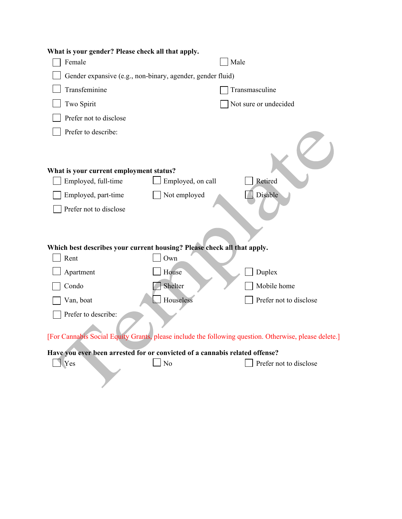| What is your gender? Please check all that apply.                           |                   |                                                                                                       |
|-----------------------------------------------------------------------------|-------------------|-------------------------------------------------------------------------------------------------------|
| Female                                                                      |                   | Male                                                                                                  |
| Gender expansive (e.g., non-binary, agender, gender fluid)                  |                   |                                                                                                       |
| Transfeminine                                                               |                   | Transmasculine                                                                                        |
| Two Spirit                                                                  |                   | Not sure or undecided                                                                                 |
| Prefer not to disclose                                                      |                   |                                                                                                       |
| Prefer to describe:                                                         |                   |                                                                                                       |
| What is your current employment status?                                     |                   |                                                                                                       |
| Employed, full-time                                                         | Employed, on call | Retired                                                                                               |
| Employed, part-time                                                         | Not employed      | Disable                                                                                               |
| Prefer not to disclose                                                      |                   |                                                                                                       |
|                                                                             |                   |                                                                                                       |
| Which best describes your current housing? Please check all that apply.     |                   |                                                                                                       |
| Rent                                                                        | Own               |                                                                                                       |
| Apartment                                                                   | House             | Duplex                                                                                                |
| Condo                                                                       | Shelter           | Mobile home                                                                                           |
| Van, boat                                                                   | Houseless         | Prefer not to disclose                                                                                |
| Prefer to describe:                                                         |                   |                                                                                                       |
|                                                                             |                   | [For Cannabis Social Equity Grants, please include the following question. Otherwise, please delete.] |
| Have you ever been arrested for or convicted of a cannabis related offense? |                   |                                                                                                       |
| Yes                                                                         | No                | Prefer not to disclose                                                                                |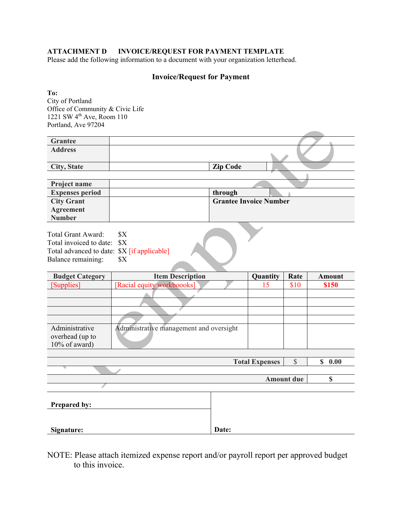#### **ATTACHMENT D INVOICE/REQUEST FOR PAYMENT TEMPLATE**

Please add the following information to a document with your organization letterhead.

#### **Invoice/Request for Payment**

**To:** City of Portland Office of Community & Civic Life 1221 SW  $4<sup>th</sup>$  Ave, Room 110 Portland, Ave 97204

| Grantee            |                 |  |
|--------------------|-----------------|--|
| <b>Address</b>     |                 |  |
| <b>City, State</b> | <b>Zip Code</b> |  |

| <b>Project name</b>    |                               |
|------------------------|-------------------------------|
| <b>Expenses period</b> | through                       |
| <b>City Grant</b>      | <b>Grantee Invoice Number</b> |
| Agreement              |                               |
| <b>Number</b>          |                               |

Total Grant Award: \$X Total invoiced to date: \$X Total advanced to date: \$X [if applicable] Balance remaining: \$X

| <b>Budget Category</b> | <b>Item Description</b>                 | Quantity | Rate | Amount |
|------------------------|-----------------------------------------|----------|------|--------|
| [Supplies]             | [Racial equity workboooks]              |          | \$10 | \$150  |
|                        |                                         |          |      |        |
|                        |                                         |          |      |        |
|                        |                                         |          |      |        |
|                        |                                         |          |      |        |
| Administrative         | Administrative management and oversight |          |      |        |
| overhead (up to        |                                         |          |      |        |
| 10% of award)          |                                         |          |      |        |
|                        |                                         |          |      |        |

|                     | <b>Total Expenses</b> | P                 | 0.00<br>\$ |
|---------------------|-----------------------|-------------------|------------|
|                     |                       |                   |            |
|                     |                       | <b>Amount due</b> |            |
|                     |                       |                   |            |
| <b>Prepared by:</b> |                       |                   |            |
| Signature:          | Date:                 |                   |            |

NOTE: Please attach itemized expense report and/or payroll report per approved budget to this invoice.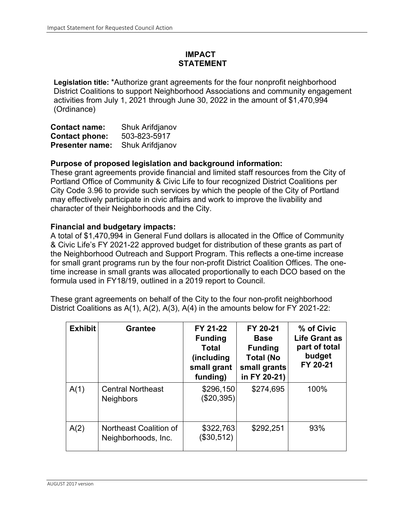# **IMPACT STATEMENT**

**Legislation title:** \*Authorize grant agreements for the four nonprofit neighborhood District Coalitions to support Neighborhood Associations and community engagement activities from July 1, 2021 through June 30, 2022 in the amount of \$1,470,994 (Ordinance)

| <b>Contact name:</b>   | Shuk Arifdjanov |
|------------------------|-----------------|
| <b>Contact phone:</b>  | 503-823-5917    |
| <b>Presenter name:</b> | Shuk Arifdjanov |

### **Purpose of proposed legislation and background information:**

These grant agreements provide financial and limited staff resources from the City of Portland Office of Community & Civic Life to four recognized District Coalitions per City Code 3.96 to provide such services by which the people of the City of Portland may effectively participate in civic affairs and work to improve the livability and character of their Neighborhoods and the City.

### **Financial and budgetary impacts:**

A total of \$1,470,994 in General Fund dollars is allocated in the Office of Community & Civic Life's FY 2021-22 approved budget for distribution of these grants as part of the Neighborhood Outreach and Support Program. This reflects a one-time increase for small grant programs run by the four non-profit District Coalition Offices. The onetime increase in small grants was allocated proportionally to each DCO based on the formula used in FY18/19, outlined in a 2019 report to Council.

These grant agreements on behalf of the City to the four non-profit neighborhood District Coalitions as A(1), A(2), A(3), A(4) in the amounts below for FY 2021-22:

| <b>Exhibit</b> | <b>Grantee</b>                                | FY 21-22<br><b>Funding</b><br><b>Total</b><br>(including<br>small grant<br>funding) | FY 20-21<br><b>Base</b><br><b>Funding</b><br><b>Total (No</b><br>small grants<br>in FY 20-21) | % of Civic<br><b>Life Grant as</b><br>part of total<br>budget<br>FY 20-21 |
|----------------|-----------------------------------------------|-------------------------------------------------------------------------------------|-----------------------------------------------------------------------------------------------|---------------------------------------------------------------------------|
| A(1)           | <b>Central Northeast</b><br><b>Neighbors</b>  | \$296,150<br>(\$20,395)                                                             | \$274,695                                                                                     | 100%                                                                      |
| A(2)           | Northeast Coalition of<br>Neighborhoods, Inc. | \$322,763<br>(\$30,512)                                                             | \$292,251                                                                                     | 93%                                                                       |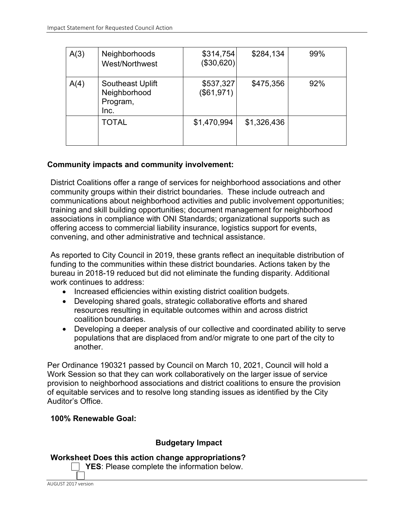| A(3) | Neighborhoods<br>West/Northwest                      | \$314,754<br>(\$30,620) | \$284,134   | 99% |
|------|------------------------------------------------------|-------------------------|-------------|-----|
| A(4) | Southeast Uplift<br>Neighborhood<br>Program,<br>Inc. | \$537,327<br>(\$61,971) | \$475,356   | 92% |
|      | <b>TOTAL</b>                                         | \$1,470,994             | \$1,326,436 |     |

# **Community impacts and community involvement:**

District Coalitions offer a range of services for neighborhood associations and other community groups within their district boundaries. These include outreach and communications about neighborhood activities and public involvement opportunities; training and skill building opportunities; document management for neighborhood associations in compliance with ONI Standards; organizational supports such as offering access to commercial liability insurance, logistics support for events, convening, and other administrative and technical assistance.

As reported to City Council in 2019, these grants reflect an inequitable distribution of funding to the communities within these district boundaries. Actions taken by the bureau in 2018-19 reduced but did not eliminate the funding disparity. Additional work continues to address:

- Increased efficiencies within existing district coalition budgets.
- Developing shared goals, strategic collaborative efforts and shared resources resulting in equitable outcomes within and across district coalition boundaries.
- Developing a deeper analysis of our collective and coordinated ability to serve populations that are displaced from and/or migrate to one part of the city to another.

Per Ordinance 190321 passed by Council on March 10, 2021, Council will hold a Work Session so that they can work collaboratively on the larger issue of service provision to neighborhood associations and district coalitions to ensure the provision of equitable services and to resolve long standing issues as identified by the City Auditor's Office.

## **100% Renewable Goal:**

## **Budgetary Impact**

**Worksheet Does this action change appropriations?**

**T** YES: Please complete the information below.